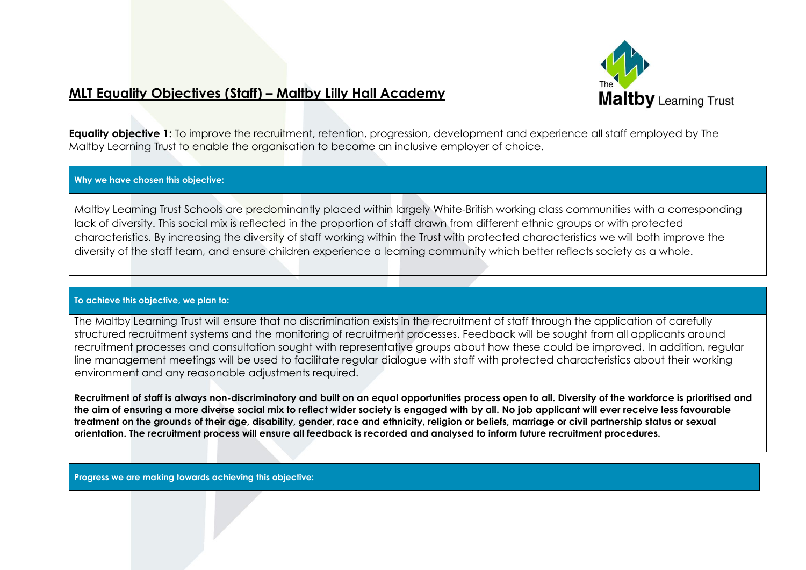

# **MLT Equality Objectives (Staff) – Maltby Lilly Hall Academy**

**Equality objective 1:** To improve the recruitment, retention, progression, development and experience all staff employed by The Maltby Learning Trust to enable the organisation to become an inclusive employer of choice.

## **Why we have chosen this objective:**

Maltby Learning Trust Schools are predominantly placed within largely White-British working class communities with a corresponding lack of diversity. This social mix is reflected in the proportion of staff drawn from different ethnic groups or with protected characteristics. By increasing the diversity of staff working within the Trust with protected characteristics we will both improve the diversity of the staff team, and ensure children experience a learning community which better reflects society as a whole.

#### **To achieve this objective, we plan to:**

The Maltby Learning Trust will ensure that no discrimination exists in the recruitment of staff through the application of carefully structured recruitment systems and the monitoring of recruitment processes. Feedback will be sought from all applicants around recruitment processes and consultation sought with representative groups about how these could be improved. In addition, regular line management meetings will be used to facilitate regular dialogue with staff with protected characteristics about their working environment and any reasonable adjustments required.

**Recruitment of staff is always non-discriminatory and built on an equal opportunities process open to all. Diversity of the workforce is prioritised and the aim of ensuring a more diverse social mix to reflect wider society is engaged with by all. No job applicant will ever receive less favourable treatment on the grounds of their age, disability, gender, race and ethnicity, religion or beliefs, marriage or civil partnership status or sexual orientation. The recruitment process will ensure all feedback is recorded and analysed to inform future recruitment procedures.**

**Progress we are making towards achieving this objective:**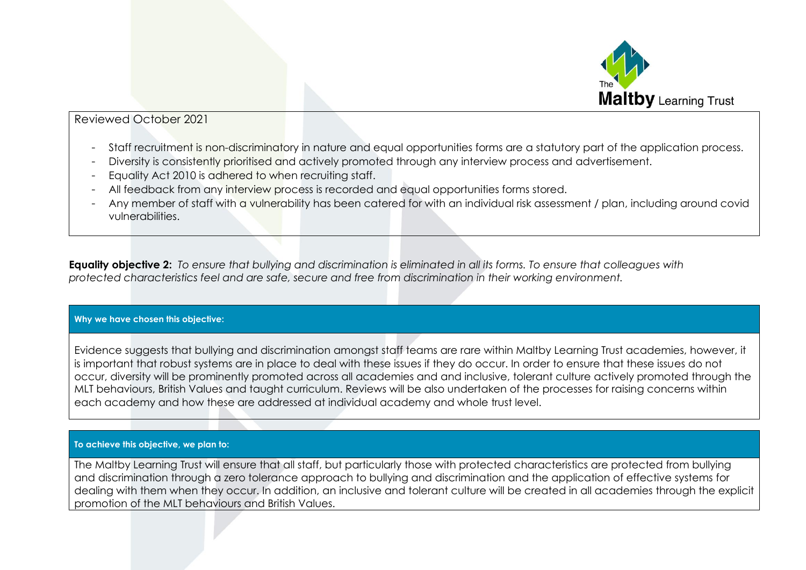

## Reviewed October 2021

- Staff recruitment is non-discriminatory in nature and equal opportunities forms are a statutory part of the application process.
- Diversity is consistently prioritised and actively promoted through any interview process and advertisement.
- Equality Act 2010 is adhered to when recruiting staff.
- All feedback from any interview process is recorded and equal opportunities forms stored.
- Any member of staff with a vulnerability has been catered for with an individual risk assessment / plan, including around covid vulnerabilities.

**Equality objective 2:** *To ensure that bullying and discrimination is eliminated in all its forms. To ensure that colleagues with protected characteristics feel and are safe, secure and free from discrimination in their working environment.* 

## **Why we have chosen this objective:**

Evidence suggests that bullying and discrimination amongst staff teams are rare within Maltby Learning Trust academies, however, it is important that robust systems are in place to deal with these issues if they do occur. In order to ensure that these issues do not occur, diversity will be prominently promoted across all academies and and inclusive, tolerant culture actively promoted through the MLT behaviours, British Values and taught curriculum. Reviews will be also undertaken of the processes for raising concerns within each academy and how these are addressed at individual academy and whole trust level.

## **To achieve this objective, we plan to:**

The Maltby Learning Trust will ensure that all staff, but particularly those with protected characteristics are protected from bullying and discrimination through a zero tolerance approach to bullying and discrimination and the application of effective systems for dealing with them when they occur. In addition, an inclusive and tolerant culture will be created in all academies through the explicit promotion of the MLT behaviours and British Values.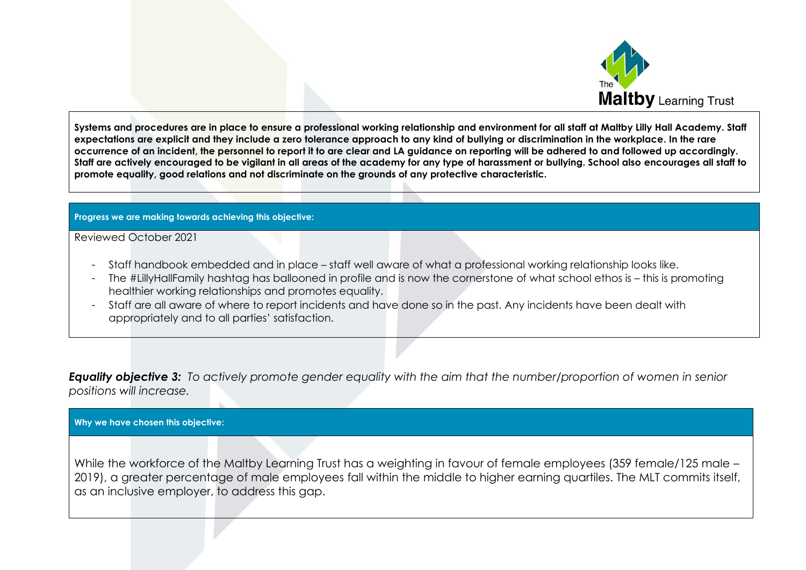

**Systems and procedures are in place to ensure a professional working relationship and environment for all staff at Maltby Lilly Hall Academy. Staff expectations are explicit and they include a zero tolerance approach to any kind of bullying or discrimination in the workplace. In the rare occurrence of an incident, the personnel to report it to are clear and LA guidance on reporting will be adhered to and followed up accordingly. Staff are actively encouraged to be vigilant in all areas of the academy for any type of harassment or bullying. School also encourages all staff to promote equality, good relations and not discriminate on the grounds of any protective characteristic.**

## **Progress we are making towards achieving this objective:**

Reviewed October 2021

- Staff handbook embedded and in place staff well aware of what a professional working relationship looks like.
- The #LillyHallFamily hashtag has ballooned in profile and is now the cornerstone of what school ethos is this is promoting healthier working relationships and promotes equality.
- Staff are all aware of where to report incidents and have done so in the past. Any incidents have been dealt with appropriately and to all parties' satisfaction.

*Equality objective 3: To actively promote gender equality with the aim that the number/proportion of women in senior positions will increase.*

## **Why we have chosen this objective:**

While the workforce of the Maltby Learning Trust has a weighting in favour of female employees (359 female/125 male – 2019), a greater percentage of male employees fall within the middle to higher earning quartiles. The MLT commits itself, as an inclusive employer, to address this gap.